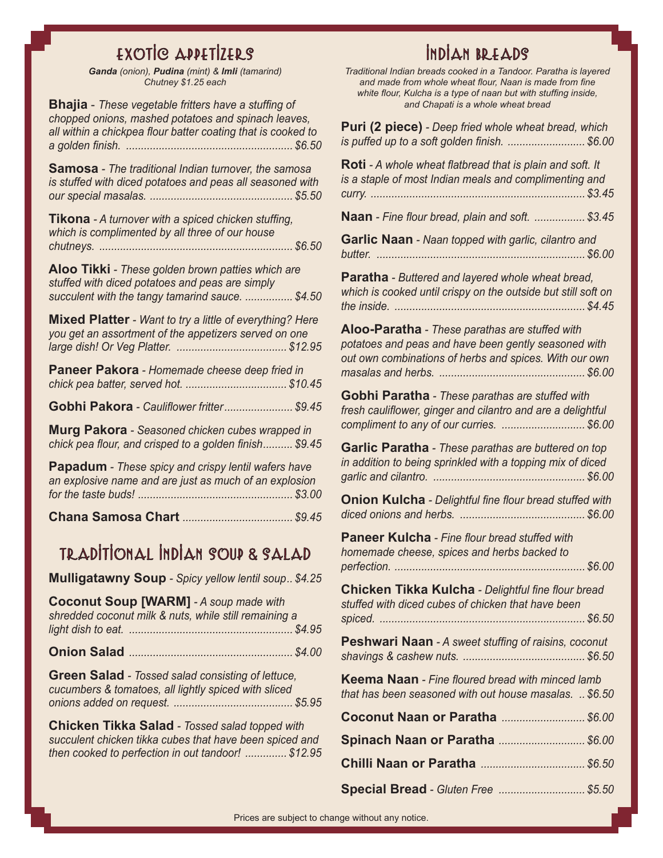## EXOTIC APPETIZERS

*Ganda (onion), Pudina (mint) & lmli (tamarind) Chutney \$1.25 each*

**Bhajia** - *These vegetable fritters have a stuffing of chopped onions, mashed potatoes and spinach leaves, all within a chickpea flour batter coating that is cooked to a golden finish. ........................................................ \$6.50*

**Samosa** *- The traditional Indian turnover, the samosa is stuffed with diced potatoes and peas all seasoned with our special masalas. ................................................ \$5.50*

| <b>Tikona</b> - A turnover with a spiced chicken stuffing, |  |
|------------------------------------------------------------|--|
| which is complimented by all three of our house            |  |
|                                                            |  |

**Aloo Tikki** *- These golden brown patties which are stuffed with diced potatoes and peas are simply succulent with the tangy tamarind sauce. ................ \$4.50*

**Mixed Platter** *- Want to try a little of everything? Here you get an assortment of the appetizers served on one large dish! Or Veg Platter. ..................................... \$12.95*

**Paneer Pakora** *- Homemade cheese deep fried in chick pea batter, served hot. .................................. \$10.45*

**Gobhi Pakora** *- Cauliflower fritter....................... \$9.45*

**Murg Pakora** *- Seasoned chicken cubes wrapped in chick pea flour, and crisped to a golden finish.......... \$9.45*

**Papadum** *- These spicy and crispy lentil wafers have an explosive name and are just as much of an explosion for the taste buds! .................................................... \$3.00*

**Chana Samosa Chart** *..................................... \$9.45*

### TRADITIONAL INDIAN SOUP & SALAD

**Mulligatawny Soup** *- Spicy yellow lentil soup.. \$4.25*

| <b>Coconut Soup [WARM] - A soup made with</b>         |
|-------------------------------------------------------|
| shredded coconut milk & nuts, while still remaining a |
|                                                       |
|                                                       |

**Onion Salad** *....................................................... \$4.00*

**Green Salad** *- Tossed salad consisting of lettuce, cucumbers & tomatoes, all lightly spiced with sliced onions added on request. ........................................ \$5.95*

**Chicken Tikka Salad** *- Tossed salad topped with succulent chicken tikka cubes that have been spiced and then cooked to perfection in out tandoor! .............. \$12.95*

# INDIAN BREADS

*Traditional Indian breads cooked in a Tandoor. Paratha is layered and made from whole wheat flour, Naan is made from fine white flour, Kulcha is a type of naan but with stuffing inside, and Chapati is a whole wheat bread*

| Puri (2 piece) - Deep fried whole wheat bread, which<br>is puffed up to a soft golden finish.  \$6.00                                                            |
|------------------------------------------------------------------------------------------------------------------------------------------------------------------|
| Roti - A whole wheat flatbread that is plain and soft. It<br>is a staple of most Indian meals and complimenting and                                              |
| Naan - Fine flour bread, plain and soft.  \$3.45                                                                                                                 |
| Garlic Naan - Naan topped with garlic, cilantro and<br>butter.<br>$\cdots$                                                                                       |
| Paratha - Buttered and layered whole wheat bread,<br>which is cooked until crispy on the outside but still soft on                                               |
| Aloo-Paratha - These parathas are stuffed with<br>potatoes and peas and have been gently seasoned with<br>out own combinations of herbs and spices. With our own |
| Gobhi Paratha - These parathas are stuffed with<br>fresh cauliflower, ginger and cilantro and are a delightful<br>compliment to any of our curries.  \$6.00      |
| Garlic Paratha - These parathas are buttered on top<br>in addition to being sprinkled with a topping mix of diced                                                |
| <b>Onion Kulcha</b> - Delightful fine flour bread stuffed with                                                                                                   |
| Paneer Kulcha - Fine flour bread stuffed with<br>homemade cheese, spices and herbs backed to                                                                     |
| Chicken Tikka Kulcha - Delightful fine flour bread<br>stuffed with diced cubes of chicken that have been                                                         |
| Peshwari Naan - A sweet stuffing of raisins, coconut                                                                                                             |
| <b>Keema Naan</b> - Fine floured bread with minced lamb<br>that has been seasoned with out house masalas. \$6.50                                                 |
| Coconut Naan or Paratha  \$6.00                                                                                                                                  |
| Spinach Naan or Paratha  \$6.00                                                                                                                                  |
|                                                                                                                                                                  |
|                                                                                                                                                                  |

**Special Bread** *- Gluten Free ............................. \$5.50*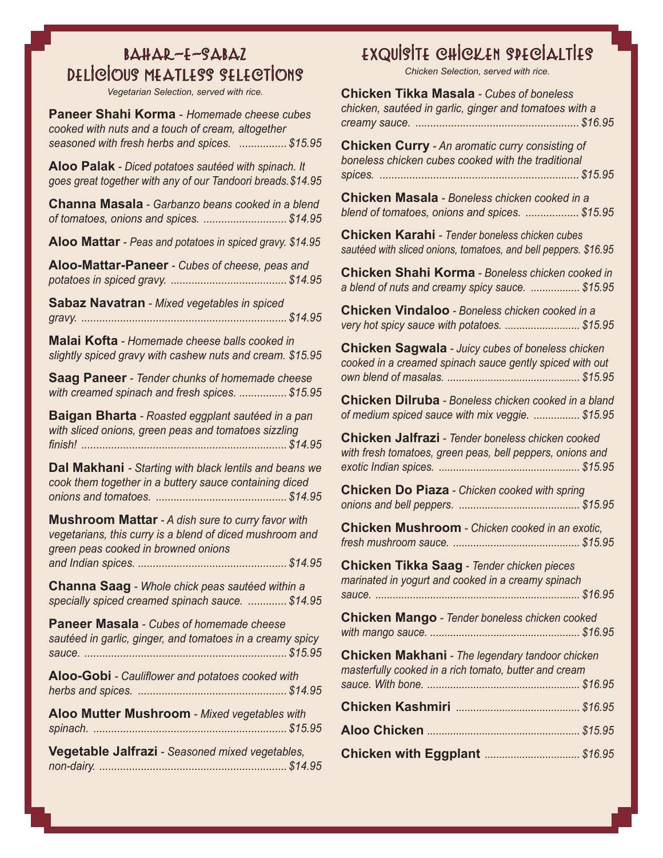### $B\Delta H\Delta R-F-S\Delta B\Delta Z$ DELICIOUS MEATLESS SELECTIONS

*Vegetarian Selection, served with rice.*

**Paneer Shahi Korma** - *Homemade cheese cubes cooked with nuts and a touch of cream, altogether seasoned with fresh herbs and spices. ................ \$15.95*

**Aloo Palak** *- Diced potatoes sautéed with spinach. It goes great together with any of our Tandoori breads.\$14.95*

**Channa Masala** *- Garbanzo beans cooked in a blend of tomatoes, onions and spices. ............................ \$14.95*

**Aloo Mattar** *- Peas and potatoes in spiced gravy. \$14.95*

**Aloo-Mattar-Paneer** *- Cubes of cheese, peas and potatoes in spiced gravy. ....................................... \$14.95*

**Sabaz Navatran** *- Mixed vegetables in spiced gravy. ..................................................................... \$14.95*

**Malai Kofta** *- Homemade cheese balls cooked in slightly spiced gravy with cashew nuts and cream. \$15.95*

**Saag Paneer** *- Tender chunks of homemade cheese with creamed spinach and fresh spices. ................ \$15.95*

**Baigan Bharta** *- Roasted eggplant sautéed in a pan with sliced onions, green peas and tomatoes sizzling finish! ..................................................................... \$14.95*

**Dal Makhani** *- Starting with black lentils and beans we cook them together in a buttery sauce containing diced onions and tomatoes. ............................................ \$14.95*

**Mushroom Mattar** *- A dish sure to curry favor with vegetarians, this curry is a blend of diced mushroom and green peas cooked in browned onions and Indian spices. .................................................. \$14.95*

**Channa Saag** *- Whole chick peas sautéed within a specially spiced creamed spinach sauce. ............. \$14.95*

**Paneer Masala** *- Cubes of homemade cheese sautéed in garlic, ginger, and tomatoes in a creamy spicy sauce. .................................................................... \$15.95*

**Aloo-Gobi** *- Cauliflower and potatoes cooked with herbs and spices. .................................................. \$14.95*

**Aloo Mutter Mushroom** *- Mixed vegetables with spinach. ................................................................. \$15.95*

**Vegetable Jalfrazi** *- Seasoned mixed vegetables, non-dairy. ............................................................... \$14.95*

# EXQUISITE CHICKEN SPECIALTIES

*Chicken Selection, served with rice.*

| <b>Chicken Tikka Masala - Cubes of boneless</b><br>chicken, sautéed in garlic, ginger and tomatoes with a                |
|--------------------------------------------------------------------------------------------------------------------------|
| <b>Chicken Curry</b> - An aromatic curry consisting of<br>boneless chicken cubes cooked with the traditional             |
| Chicken Masala - Boneless chicken cooked in a<br>blend of tomatoes, onions and spices. \$15.95                           |
| <b>Chicken Karahi</b> - Tender boneless chicken cubes<br>sautéed with sliced onions, tomatoes, and bell peppers. \$16.95 |
| <b>Chicken Shahi Korma - Boneless chicken cooked in</b><br>a blend of nuts and creamy spicy sauce.  \$15.95              |
| <b>Chicken Vindaloo</b> - Boneless chicken cooked in a<br>very hot spicy sauce with potatoes.  \$15.95                   |
| <b>Chicken Sagwala - Juicy cubes of boneless chicken</b><br>cooked in a creamed spinach sauce gently spiced with out     |
| Chicken Dilruba - Boneless chicken cooked in a bland<br>of medium spiced sauce with mix veggie.  \$15.95                 |
| Chicken Jalfrazi - Tender boneless chicken cooked<br>with fresh tomatoes, green peas, bell peppers, onions and           |
| <b>Chicken Do Piaza</b> - Chicken cooked with spring                                                                     |
| Chicken Mushroom - Chicken cooked in an exotic,                                                                          |
| Chicken Tikka Saag - Tender chicken pieces<br>marinated in yogurt and cooked in a creamy spinach                         |
| Chicken Mango - Tender boneless chicken cooked                                                                           |
| <b>Chicken Makhani</b> - The legendary tandoor chicken<br>masterfully cooked in a rich tomato, butter and cream          |
|                                                                                                                          |
|                                                                                                                          |
|                                                                                                                          |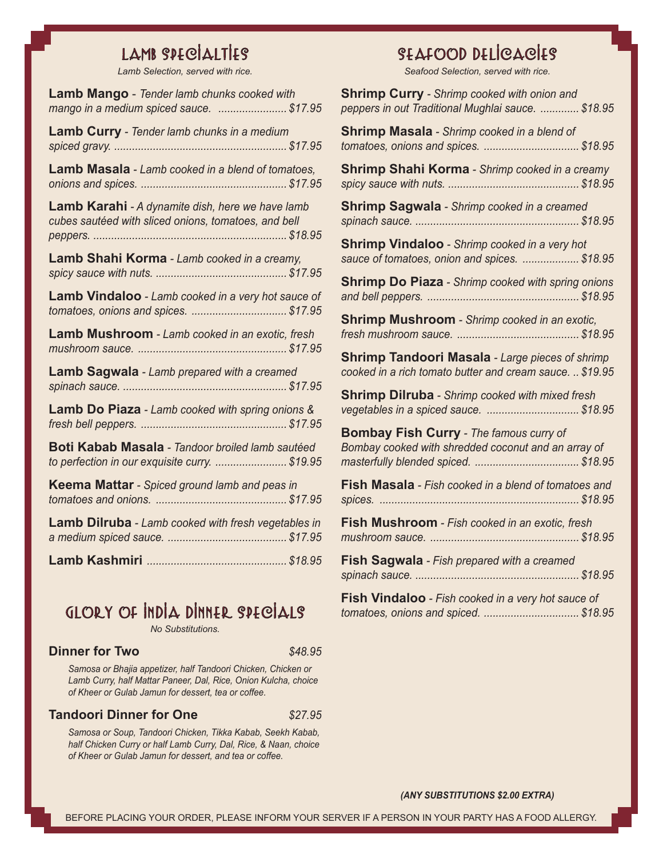# LAMB SPECIALTIES

*Lamb Selection, served with rice.*

| <b>Lamb Mango</b> - Tender lamb chunks cooked with<br>mango in a medium spiced sauce.  \$17.95           |
|----------------------------------------------------------------------------------------------------------|
| <b>Lamb Curry</b> - Tender lamb chunks in a medium                                                       |
| Lamb Masala - Lamb cooked in a blend of tomatoes,                                                        |
| Lamb Karahi - A dynamite dish, here we have lamb<br>cubes sautéed with sliced onions, tomatoes, and bell |
| Lamb Shahi Korma - Lamb cooked in a creamy,                                                              |
| Lamb Vindaloo - Lamb cooked in a very hot sauce of<br>tomatoes, onions and spices.  \$17.95              |
| Lamb Mushroom - Lamb cooked in an exotic, fresh                                                          |
| <b>Lamb Sagwala</b> - Lamb prepared with a creamed                                                       |
| Lamb Do Piaza - Lamb cooked with spring onions &                                                         |
| Boti Kabab Masala - Tandoor broiled lamb sautéed<br>to perfection in our exquisite curry.  \$19.95       |
| Keema Mattar - Spiced ground lamb and peas in                                                            |
| <b>Lamb Dilruba</b> - Lamb cooked with fresh vegetables in                                               |
|                                                                                                          |

GLORY OF INDIA DINNER SPECIALS

*No Substitutions.*

#### **Dinner for Two**   $$48.95$

*Samosa or Bhajia appetizer, half Tandoori Chicken, Chicken or Lamb Curry, half Mattar Paneer, Dal, Rice, Onion Kulcha, choice of Kheer or Gulab Jamun for dessert, tea or coffee.*

#### **Tandoori Dinner for One** *\$27.95*

*Samosa or Soup, Tandoori Chicken, Tikka Kabab, Seekh Kabab, half Chicken Curry or half Lamb Curry, Dal, Rice, & Naan, choice of Kheer or Gulab Jamun for dessert, and tea or coffee.*

# SEAFOOD DELICACIES

*Seafood Selection, served with rice.*

| <b>Shrimp Curry - Shrimp cooked with onion and</b><br>peppers in out Traditional Mughlai sauce.  \$18.95 |
|----------------------------------------------------------------------------------------------------------|
| Shrimp Masala - Shrimp cooked in a blend of<br>tomatoes, onions and spices.  \$18.95                     |
| Shrimp Shahi Korma - Shrimp cooked in a creamy                                                           |
| Shrimp Sagwala - Shrimp cooked in a creamed                                                              |
| <b>Shrimp Vindaloo</b> - Shrimp cooked in a very hot<br>sauce of tomatoes, onion and spices.  \$18.95    |
| <b>Shrimp Do Piaza</b> - Shrimp cooked with spring onions                                                |
| Shrimp Mushroom - Shrimp cooked in an exotic,                                                            |
| <b>Shrimp Tandoori Masala - Large pieces of shrimp</b>                                                   |
| cooked in a rich tomato butter and cream sauce.  \$19.95                                                 |
| <b>Shrimp Dilruba</b> - Shrimp cooked with mixed fresh<br>vegetables in a spiced sauce.  \$18.95         |
| <b>Bombay Fish Curry - The famous curry of</b><br>Bombay cooked with shredded coconut and an array of    |
| <b>Fish Masala</b> - Fish cooked in a blend of tomatoes and                                              |
| Fish Mushroom - Fish cooked in an exotic, fresh                                                          |
| Fish Sagwala - Fish prepared with a creamed                                                              |

#### *(ANY SUBSTITUTIONS \$2.00 EXTRA)*

*tomatoes, onions and spiced. ................................ \$18.95*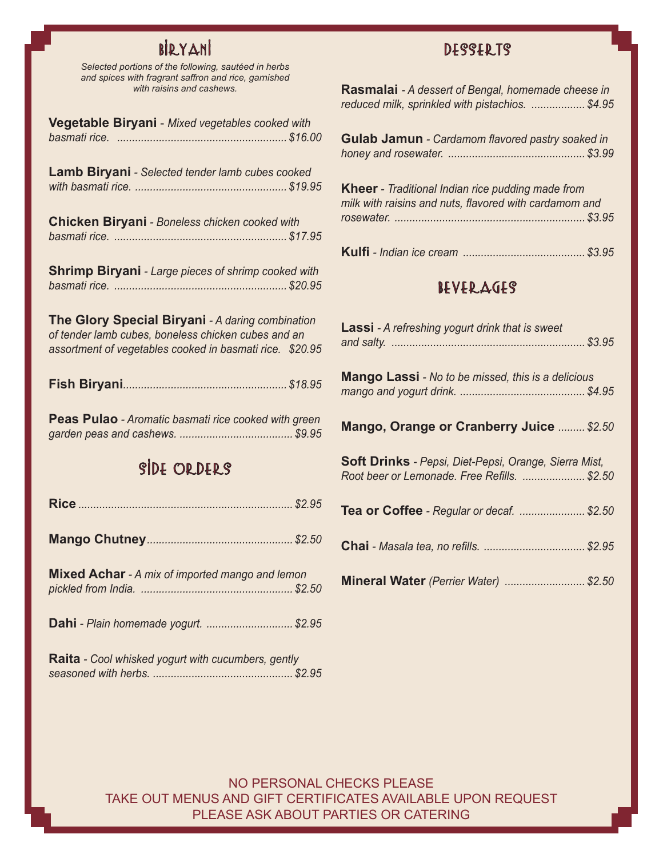# BIRYANI

*Selected portions of the following, sautéed in herbs and spices with fragrant saffron and rice, garnished with raisins and cashews.*

| Vegetable Biryani - Mixed vegetables cooked with<br>basmati rice.                                                                                                   |  |
|---------------------------------------------------------------------------------------------------------------------------------------------------------------------|--|
| Lamb Biryani - Selected tender lamb cubes cooked                                                                                                                    |  |
| <b>Chicken Biryani</b> - Boneless chicken cooked with                                                                                                               |  |
| <b>Shrimp Biryani</b> - Large pieces of shrimp cooked with                                                                                                          |  |
| The Glory Special Biryani - A daring combination<br>of tender lamb cubes, boneless chicken cubes and an<br>assortment of vegetables cooked in basmati rice. \$20.95 |  |
|                                                                                                                                                                     |  |
| Peas Pulao - Aromatic basmati rice cooked with green                                                                                                                |  |
| SIDE ORDERS                                                                                                                                                         |  |
|                                                                                                                                                                     |  |
|                                                                                                                                                                     |  |
| Mixed Achar - A mix of imported mango and lemon                                                                                                                     |  |
| Dahi - Plain homemade yogurt.  \$2.95                                                                                                                               |  |

**Raita** *- Cool whisked yogurt with cucumbers, gently seasoned with herbs. ............................................... \$2.95*

### DESSERTS

| <b>Rasmalai</b> - A dessert of Bengal, homemade cheese in |  |
|-----------------------------------------------------------|--|
| reduced milk, sprinkled with pistachios.  \$4.95          |  |

| <b>Gulab Jamun</b> - Cardamom flavored pastry soaked in |
|---------------------------------------------------------|
|                                                         |

| <b>Kheer</b> - Traditional Indian rice pudding made from |  |
|----------------------------------------------------------|--|
| milk with raisins and nuts, flavored with cardamom and   |  |
|                                                          |  |
|                                                          |  |

|--|--|

### BEVERAGES

| <b>Lassi</b> - A refreshing yogurt drink that is sweet                                                |  |
|-------------------------------------------------------------------------------------------------------|--|
| <b>Mango Lassi</b> - No to be missed, this is a delicious                                             |  |
| Mango, Orange or Cranberry Juice  \$2.50                                                              |  |
| Soft Drinks - Pepsi, Diet-Pepsi, Orange, Sierra Mist,<br>Root beer or Lemonade. Free Refills.  \$2.50 |  |
| Tea or Coffee - Regular or decaf.  \$2.50                                                             |  |
|                                                                                                       |  |
| Mineral Water (Perrier Water)  \$2.50                                                                 |  |

NO PERSONAL CHECKS PLEASE TAKE OUT MENUS AND GIFT CERTIFICATES AVAILABLE UPON REQUEST PLEASE ASK ABOUT PARTIES OR CATERING